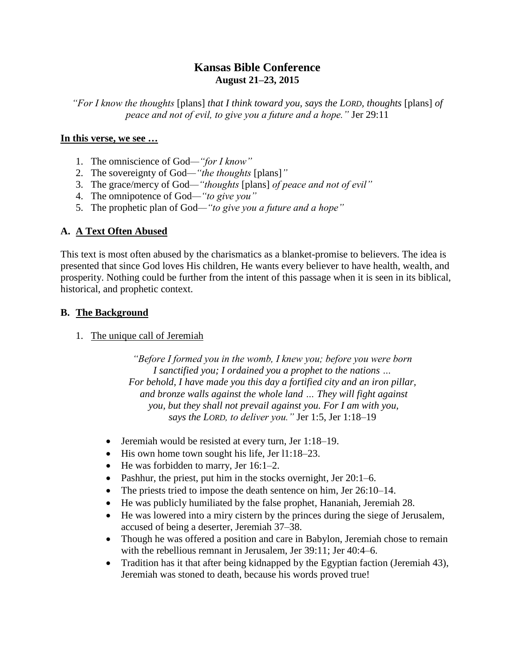# **Kansas Bible Conference August 21–23, 2015**

*"For I know the thoughts* [plans] *that I think toward you, says the LORD, thoughts* [plans] *of peace and not of evil, to give you a future and a hope."* Jer 29:11

#### **In this verse, we see …**

- 1. The omniscience of God*—"for I know"*
- 2. The sovereignty of God*—"the thoughts* [plans]*"*
- 3. The grace/mercy of God*—"thoughts* [plans] *of peace and not of evil"*
- 4. The omnipotence of God*—"to give you"*
- 5. The prophetic plan of God*—"to give you a future and a hope"*

## **A. A Text Often Abused**

This text is most often abused by the charismatics as a blanket-promise to believers. The idea is presented that since God loves His children, He wants every believer to have health, wealth, and prosperity. Nothing could be further from the intent of this passage when it is seen in its biblical, historical, and prophetic context.

## **B. The Background**

1. The unique call of Jeremiah

*"Before I formed you in the womb, I knew you; before you were born I sanctified you; I ordained you a prophet to the nations … For behold, I have made you this day a fortified city and an iron pillar, and bronze walls against the whole land … They will fight against you, but they shall not prevail against you. For I am with you, says the LORD, to deliver you."* Jer 1:5, Jer 1:18–19

- Jeremiah would be resisted at every turn, Jer 1:18–19.
- $\bullet$  His own home town sought his life, Jer 11:18–23.
- $\bullet$  He was forbidden to marry, Jer 16:1–2.
- Pashhur, the priest, put him in the stocks overnight, Jer 20:1–6.
- The priests tried to impose the death sentence on him, Jer 26:10–14.
- He was publicly humiliated by the false prophet, Hananiah, Jeremiah 28.
- He was lowered into a miry cistern by the princes during the siege of Jerusalem, accused of being a deserter, Jeremiah 37–38.
- Though he was offered a position and care in Babylon, Jeremiah chose to remain with the rebellious remnant in Jerusalem, Jer 39:11; Jer 40:4–6.
- Tradition has it that after being kidnapped by the Egyptian faction (Jeremiah 43), Jeremiah was stoned to death, because his words proved true!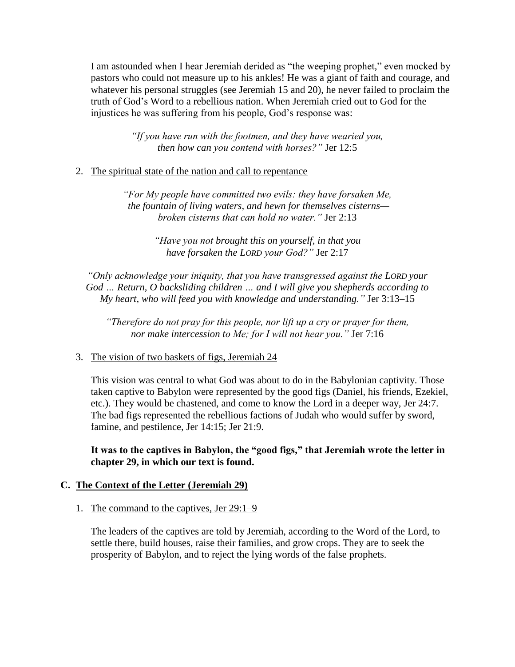I am astounded when I hear Jeremiah derided as "the weeping prophet," even mocked by pastors who could not measure up to his ankles! He was a giant of faith and courage, and whatever his personal struggles (see Jeremiah 15 and 20), he never failed to proclaim the truth of God's Word to a rebellious nation. When Jeremiah cried out to God for the injustices he was suffering from his people, God's response was:

> *"If you have run with the footmen, and they have wearied you, then how can you contend with horses?"* Jer 12:5

## 2. The spiritual state of the nation and call to repentance

*"For My people have committed two evils: they have forsaken Me, the fountain of living waters, and hewn for themselves cisterns broken cisterns that can hold no water."* Jer 2:13

> *"Have you not brought this on yourself, in that you have forsaken the LORD your God?"* Jer 2:17

*"Only acknowledge your iniquity, that you have transgressed against the LORD your God … Return, O backsliding children … and I will give you shepherds according to My heart, who will feed you with knowledge and understanding."* Jer 3:13–15

*"Therefore do not pray for this people, nor lift up a cry or prayer for them, nor make intercession to Me; for I will not hear you."* Jer 7:16

## 3. The vision of two baskets of figs, Jeremiah 24

This vision was central to what God was about to do in the Babylonian captivity. Those taken captive to Babylon were represented by the good figs (Daniel, his friends, Ezekiel, etc.). They would be chastened, and come to know the Lord in a deeper way, Jer 24:7. The bad figs represented the rebellious factions of Judah who would suffer by sword, famine, and pestilence, Jer 14:15; Jer 21:9.

**It was to the captives in Babylon, the "good figs," that Jeremiah wrote the letter in chapter 29, in which our text is found.**

## **C. The Context of the Letter (Jeremiah 29)**

## 1. The command to the captives, Jer 29:1–9

The leaders of the captives are told by Jeremiah, according to the Word of the Lord, to settle there, build houses, raise their families, and grow crops. They are to seek the prosperity of Babylon, and to reject the lying words of the false prophets.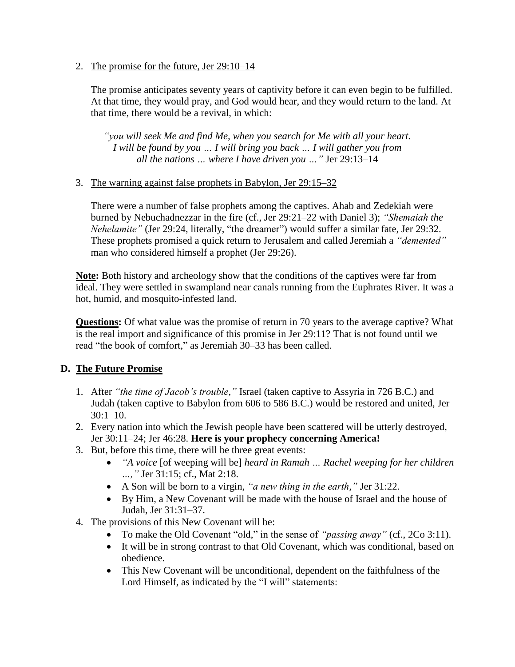2. The promise for the future, Jer 29:10–14

The promise anticipates seventy years of captivity before it can even begin to be fulfilled. At that time, they would pray, and God would hear, and they would return to the land. At that time, there would be a revival, in which:

*"you will seek Me and find Me, when you search for Me with all your heart. I will be found by you … I will bring you back … I will gather you from all the nations … where I have driven you …"* Jer 29:13–14

#### 3. The warning against false prophets in Babylon, Jer 29:15–32

There were a number of false prophets among the captives. Ahab and Zedekiah were burned by Nebuchadnezzar in the fire (cf., Jer 29:21–22 with Daniel 3); *"Shemaiah the Nehelamite"* (Jer 29:24, literally, "the dreamer") would suffer a similar fate, Jer 29:32. These prophets promised a quick return to Jerusalem and called Jeremiah a *"demented"* man who considered himself a prophet (Jer 29:26).

**Note:** Both history and archeology show that the conditions of the captives were far from ideal. They were settled in swampland near canals running from the Euphrates River. It was a hot, humid, and mosquito-infested land.

**Questions:** Of what value was the promise of return in 70 years to the average captive? What is the real import and significance of this promise in Jer 29:11? That is not found until we read "the book of comfort," as Jeremiah 30–33 has been called.

## **D. The Future Promise**

- 1. After *"the time of Jacob's trouble,"* Israel (taken captive to Assyria in 726 B.C.) and Judah (taken captive to Babylon from 606 to 586 B.C.) would be restored and united, Jer  $30:1-10.$
- 2. Every nation into which the Jewish people have been scattered will be utterly destroyed, Jer 30:11–24; Jer 46:28. **Here is your prophecy concerning America!**
- 3. But, before this time, there will be three great events:
	- *"A voice* [of weeping will be] *heard in Ramah … Rachel weeping for her children …,"* Jer 31:15; cf., Mat 2:18.
	- A Son will be born to a virgin, *"a new thing in the earth,"* Jer 31:22.
	- By Him, a New Covenant will be made with the house of Israel and the house of Judah, Jer 31:31–37.
- 4. The provisions of this New Covenant will be:
	- To make the Old Covenant "old," in the sense of *"passing away"* (cf., 2Co 3:11).
	- It will be in strong contrast to that Old Covenant, which was conditional, based on obedience.
	- This New Covenant will be unconditional, dependent on the faithfulness of the Lord Himself, as indicated by the "I will" statements: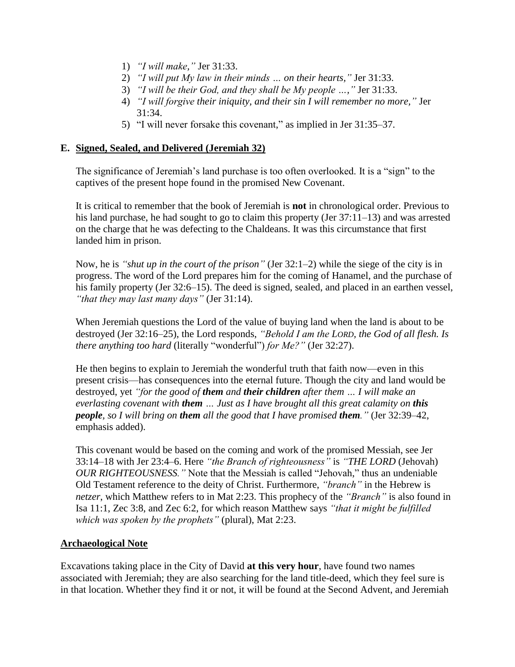- 1) *"I will make,"* Jer 31:33.
- 2) *"I will put My law in their minds … on their hearts,"* Jer 31:33.
- 3) *"I will be their God, and they shall be My people …,"* Jer 31:33.
- 4) *"I will forgive their iniquity, and their sin I will remember no more,"* Jer 31:34.
- 5) "I will never forsake this covenant," as implied in Jer 31:35–37.

#### **E. Signed, Sealed, and Delivered (Jeremiah 32)**

The significance of Jeremiah's land purchase is too often overlooked. It is a "sign" to the captives of the present hope found in the promised New Covenant.

It is critical to remember that the book of Jeremiah is **not** in chronological order. Previous to his land purchase, he had sought to go to claim this property (Jer 37:11–13) and was arrested on the charge that he was defecting to the Chaldeans. It was this circumstance that first landed him in prison.

Now, he is *"shut up in the court of the prison"* (Jer 32:1–2) while the siege of the city is in progress. The word of the Lord prepares him for the coming of Hanamel, and the purchase of his family property (Jer 32:6–15). The deed is signed, sealed, and placed in an earthen vessel, *"that they may last many days"* (Jer 31:14).

When Jeremiah questions the Lord of the value of buying land when the land is about to be destroyed (Jer 32:16–25), the Lord responds, *"Behold I am the LORD, the God of all flesh. Is there anything too hard* (literally "wonderful") *for Me?"* (Jer 32:27).

He then begins to explain to Jeremiah the wonderful truth that faith now—even in this present crisis—has consequences into the eternal future. Though the city and land would be destroyed, yet *"for the good of them and their children after them … I will make an everlasting covenant with them … Just as I have brought all this great calamity on this people, so I will bring on them all the good that I have promised them."* (Jer 32:39–42, emphasis added).

This covenant would be based on the coming and work of the promised Messiah, see Jer 33:14–18 with Jer 23:4–6. Here *"the Branch of righteousness"* is *"THE LORD* (Jehovah) *OUR RIGHTEOUSNESS."* Note that the Messiah is called "Jehovah," thus an undeniable Old Testament reference to the deity of Christ. Furthermore, *"branch"* in the Hebrew is *netzer*, which Matthew refers to in Mat 2:23. This prophecy of the *"Branch"* is also found in Isa 11:1, Zec 3:8, and Zec 6:2, for which reason Matthew says *"that it might be fulfilled which was spoken by the prophets"* (plural), Mat 2:23.

#### **Archaeological Note**

Excavations taking place in the City of David **at this very hour**, have found two names associated with Jeremiah; they are also searching for the land title-deed, which they feel sure is in that location. Whether they find it or not, it will be found at the Second Advent, and Jeremiah